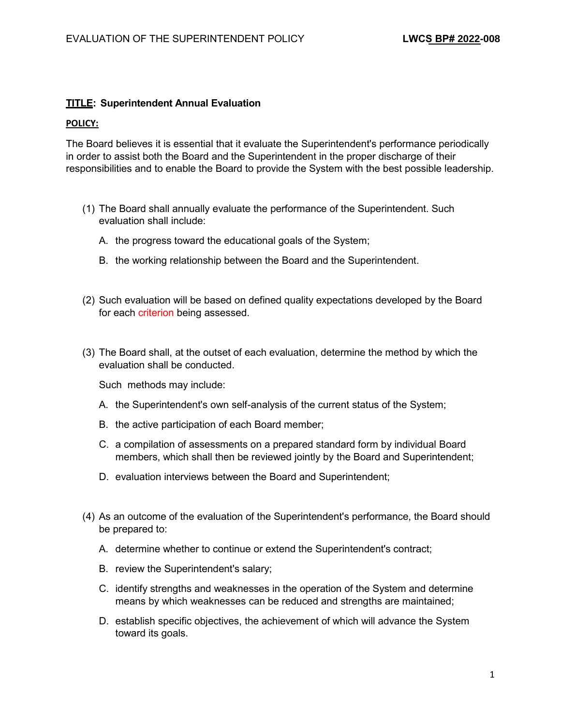## **TITLE: Superintendent Annual Evaluation**

## **POLICY:**

The Board believes it is essential that it evaluate the Superintendent's performance periodically in order to assist both the Board and the Superintendent in the proper discharge of their responsibilities and to enable the Board to provide the System with the best possible leadership.

- (1) The Board shall annually evaluate the performance of the Superintendent. Such evaluation shall include:
	- A. the progress toward the educational goals of the System;
	- B. the working relationship between the Board and the Superintendent.
- (2) Such evaluation will be based on defined quality expectations developed by the Board for each criterion being assessed.
- (3) The Board shall, at the outset of each evaluation, determine the method by which the evaluation shall be conducted.

Such methods may include:

- A. the Superintendent's own self-analysis of the current status of the System;
- B. the active participation of each Board member;
- C. a compilation of assessments on a prepared standard form by individual Board members, which shall then be reviewed jointly by the Board and Superintendent;
- D. evaluation interviews between the Board and Superintendent;
- (4) As an outcome of the evaluation of the Superintendent's performance, the Board should be prepared to:
	- A. determine whether to continue or extend the Superintendent's contract;
	- B. review the Superintendent's salary;
	- C. identify strengths and weaknesses in the operation of the System and determine means by which weaknesses can be reduced and strengths are maintained;
	- D. establish specific objectives, the achievement of which will advance the System toward its goals.